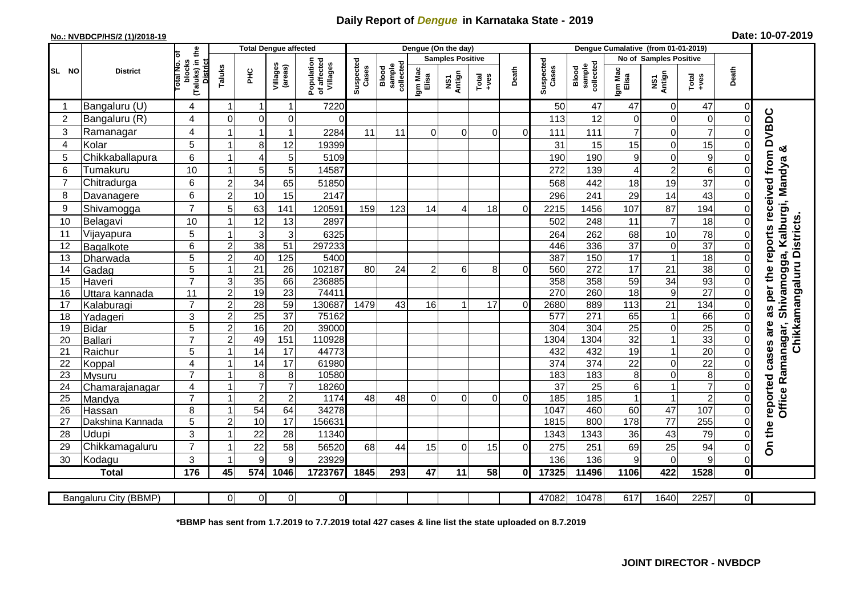## **Daily Report of** *Dengue* **in Karnataka State - 2019**

## **No.: NVBDCP/HS/2 (1)/2018-19**

| Date: 10-07-2019 |  |  |  |  |
|------------------|--|--|--|--|
|------------------|--|--|--|--|

|                |                         | <b>Total Dengue affected</b>                                     |                                  |                 |                       |                                       |                    | Dengue (On the day)          |                         |               |                                                              |          |                    |                              |                         |                            |                 |                      |                              |
|----------------|-------------------------|------------------------------------------------------------------|----------------------------------|-----------------|-----------------------|---------------------------------------|--------------------|------------------------------|-------------------------|---------------|--------------------------------------------------------------|----------|--------------------|------------------------------|-------------------------|----------------------------|-----------------|----------------------|------------------------------|
|                |                         | Б                                                                |                                  |                 |                       |                                       |                    |                              | <b>Samples Positive</b> |               |                                                              |          |                    |                              | No of Samples Positive  |                            |                 |                      |                              |
| SL NO          | <b>District</b>         | (Taluks) in the<br><b>Total No.</b><br>blocks<br><b>District</b> | Taluks                           | ÈЯ              | Villages<br>(areas)   | Population<br>of affected<br>Villages | Suspected<br>Cases | collected<br>sample<br>Blood | Igm Mac<br>Elisa        | Antign<br>VSV | $\begin{array}{c}\n\text{Total} \\ \text{Area}\n\end{array}$ | Death    | Suspected<br>Cases | sample<br>collected<br>Blood | Igm Mad<br>Elisa        | NS1<br>Antign              | Total<br>$-ves$ | Death                |                              |
|                | Bangaluru (U)           | 4                                                                |                                  | -1              | 1                     | 7220                                  |                    |                              |                         |               |                                                              |          | 50                 | 47                           | 47                      | 0                          | 47              | 0                    |                              |
| $\overline{2}$ | Bangaluru (R)           | 4                                                                | $\Omega$                         | $\Omega$        | $\overline{0}$        | $\Omega$                              |                    |                              |                         |               |                                                              |          | 113                | 12                           | 0                       | $\mathbf 0$                | 0               |                      |                              |
| 3              | Ramanagar               | 4                                                                |                                  | 1               | 1                     | 2284                                  | 11                 | 11                           | $\Omega$                | $\Omega$      | $\Omega$                                                     | 0        | 111                | 111                          | $\overline{7}$          | $\Omega$                   | $\overline{7}$  | $\Omega$             | reports received from DVBDC  |
| 4              | Kolar                   | 5                                                                |                                  | 8               | 12                    | 19399                                 |                    |                              |                         |               |                                                              |          | 31                 | 15                           | 15                      | $\mathbf 0$                | 15              | 0                    | య                            |
| 5              | Chikkaballapura         | 6                                                                |                                  | $\overline{4}$  | 5                     | 5109                                  |                    |                              |                         |               |                                                              |          | 190                | 190                          | $\boldsymbol{9}$        | $\mathbf 0$                | 9               | 0                    |                              |
| 6              | Tumakuru                | 10                                                               | -1                               | 5               | 5                     | 14587                                 |                    |                              |                         |               |                                                              |          | 272                | 139                          | $\overline{\mathbf{4}}$ | $\overline{c}$             | 6               | ΩI                   |                              |
| $\overline{7}$ | Chitradurga             | 6                                                                | $\overline{2}$                   | 34              | 65                    | 51850                                 |                    |                              |                         |               |                                                              |          | 568                | 442                          | 18                      | 19                         | 37              | 0                    |                              |
| 8              | Davanagere              | 6                                                                | $\overline{2}$                   | 10              | 15                    | 2147                                  |                    |                              |                         |               |                                                              |          | 296                | 241                          | 29                      | 14                         | 43              | $\Omega$             |                              |
| 9              | Shivamogga              | $\overline{7}$                                                   | 5                                | 63              | 141                   | 120591                                | 159                | 123                          | 14                      | 4             | 18                                                           | $\Omega$ | 2215               | 1456                         | 107                     | 87                         | 194             | 0                    | Shivamogga, Kalburgi, Mandya |
| 10             | Belagavi                | 10                                                               |                                  | 12              | 13                    | 2897                                  |                    |                              |                         |               |                                                              |          | 502                | 248                          | 11                      | $\overline{7}$             | 18              |                      | Chikkamangaluru Districts    |
| 11             | Vijayapura              | 5                                                                |                                  | 3               | 3                     | 6325                                  |                    |                              |                         |               |                                                              |          | 264                | 262                          | 68                      | 10                         | 78              | 0                    |                              |
| 12             | Bagalkote               | 6                                                                | $\overline{c}$                   | 38              | 51                    | 297233                                |                    |                              |                         |               |                                                              |          | 446                | 336                          | $\overline{37}$         | $\mathbf 0$                | $\overline{37}$ | $\Omega$             |                              |
| 13             | Dharwada                | $\overline{5}$                                                   | $\overline{2}$                   | 40              | 125                   | 5400                                  |                    |                              |                         |               |                                                              |          | 387                | 150                          | 17                      | $\overline{1}$             | 18              | $\overline{0}$       |                              |
| 14             | Gadag                   | 5                                                                | $\overline{\phantom{a}}$         | 21              | 26                    | 102187                                | 80                 | 24                           | $\overline{2}$          | 6             | 8                                                            | $\Omega$ | 560                | $\overline{272}$             | $\overline{17}$         | 21                         | $\overline{38}$ | $\Omega$             |                              |
| 15             | Haveri                  | $\overline{7}$                                                   | 3                                | 35              | 66                    | 236885                                |                    |                              |                         |               |                                                              |          | 358                | 358                          | 59                      | 34                         | 93              | $\Omega$             | per the                      |
| 16             | Uttara kannada          | 11                                                               | $\overline{c}$                   | $\overline{19}$ | 23                    | 74411                                 |                    |                              |                         |               |                                                              |          | 270                | 260                          | $\overline{18}$         | $\overline{9}$             | $\overline{27}$ | $\Omega$             |                              |
| 17             | Kalaburagi              | $\overline{7}$                                                   | $\overline{2}$                   | 28              | 59                    | 130687                                | 1479               | 43                           | 16                      |               | 17                                                           | $\Omega$ | 2680               | 889                          | 113                     | $\overline{21}$            | 134             | $\Omega$             | ಡ                            |
| 18             | Yadageri                | 3                                                                | $\overline{2}$                   | 25              | $\overline{37}$       | 75162                                 |                    |                              |                         |               |                                                              |          | 577                | 271                          | 65                      | $\overline{1}$             | 66              | $\Omega$             |                              |
| 19             | Bidar                   | $\overline{5}$                                                   | $\overline{2}$                   | 16              | 20                    | 39000                                 |                    |                              |                         |               |                                                              |          | 304                | 304                          | $\overline{25}$         | $\mathbf 0$                | $\overline{25}$ | $\overline{0}$       |                              |
| 20             | Ballari                 | $\overline{7}$                                                   | $\overline{c}$<br>$\overline{ }$ | 49              | 151                   | 110928                                |                    |                              |                         |               |                                                              |          | 1304               | 1304                         | 32                      |                            | 33              | $\Omega$             |                              |
| 21<br>22       | Raichur                 | 5                                                                |                                  | $\overline{14}$ | 17<br>$\overline{17}$ | 44773                                 |                    |                              |                         |               |                                                              |          | 432<br>374         | 432<br>374                   | $\overline{19}$         | $\mathbf{1}$               | $\overline{20}$ | $\Omega$<br>$\Omega$ | cases are                    |
| 23             | Koppal<br><b>Mysuru</b> | 4<br>$\overline{7}$                                              |                                  | 14<br>8         | 8                     | 61980<br>10580                        |                    |                              |                         |               |                                                              |          | 183                | 183                          | 22<br>8                 | $\mathbf 0$<br>$\mathbf 0$ | 22<br>8         |                      | Ramanagar,                   |
| 24             | Chamarajanagar          | 4                                                                |                                  | $\overline{7}$  | $\overline{7}$        | 18260                                 |                    |                              |                         |               |                                                              |          | 37                 | 25                           | 6                       |                            | $\overline{7}$  |                      |                              |
| 25             | Mandya                  | $\overline{7}$                                                   |                                  | $\overline{2}$  | $\overline{2}$        | 1174                                  | 48                 | 48                           | $\Omega$                | $\Omega$      | $\Omega$                                                     | $\Omega$ | 185                | $\frac{1}{185}$              | $\mathbf{1}$            | $\overline{1}$             | $\overline{2}$  | $\Omega$             |                              |
| 26             | Hassan                  | 8                                                                |                                  | $\overline{54}$ | 64                    | 34278                                 |                    |                              |                         |               |                                                              |          | 1047               | 460                          | 60                      | $\overline{47}$            | 107             | $\overline{0}$       | reported<br>Office           |
| 27             | Dakshina Kannada        | $\overline{5}$                                                   | $\overline{2}$                   | 10              | 17                    | 156631                                |                    |                              |                         |               |                                                              |          | 1815               | 800                          | 178                     | $\overline{77}$            | 255             | $\overline{0}$       |                              |
| 28             | Udupi                   | 3                                                                |                                  | 22              | 28                    | 11340                                 |                    |                              |                         |               |                                                              |          | 1343               | 1343                         | 36                      | 43                         | 79              | 0                    |                              |
| 29             | Chikkamagaluru          | $\overline{7}$                                                   |                                  | 22              | 58                    | 56520                                 | 68                 | 44                           | 15                      | $\Omega$      | 15                                                           | $\Omega$ | 275                | 251                          | 69                      | 25                         | 94              | $\Omega$             | On the                       |
| 30             | Kodagu                  | 3                                                                |                                  | 9               | 9                     | 23929                                 |                    |                              |                         |               |                                                              |          | 136                | 136                          | 9                       | $\mathbf 0$                | 9               | $\overline{0}$       |                              |
|                | <b>Total</b>            | 176                                                              | 45                               | 574             | 1046                  | 1723767                               | 1845               | 293                          | 47                      | 11            | 58                                                           | $\Omega$ | 17325              | 11496                        | 1106                    | 422                        | 1528            | $\mathbf{0}$         |                              |
|                |                         |                                                                  |                                  |                 |                       |                                       |                    |                              |                         |               |                                                              |          |                    |                              |                         |                            |                 |                      |                              |
|                | Bangaluru City (BBMP)   |                                                                  | $\Omega$                         | 0 <sup>l</sup>  | $\overline{0}$        | $\overline{0}$                        |                    |                              |                         |               |                                                              |          | 47082              | 10478                        | 617                     | 1640                       | 2257            | $\overline{0}$       |                              |

**\*BBMP has sent from 1.7.2019 to 7.7.2019 total 427 cases & line list the state uploaded on 8.7.2019**